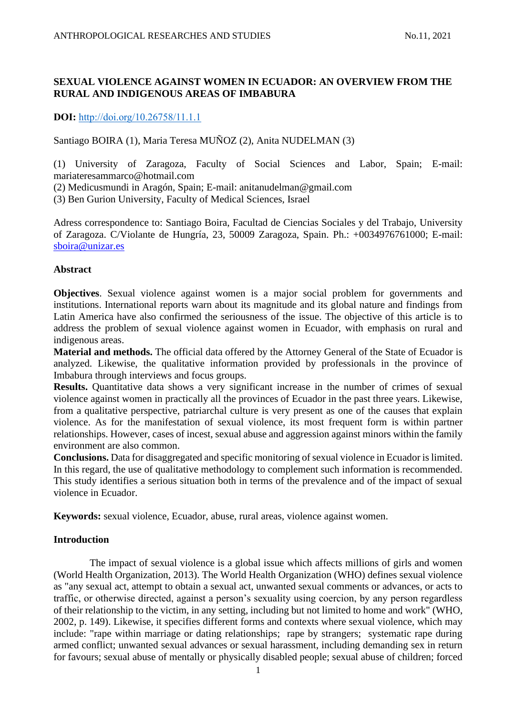# **SEXUAL VIOLENCE AGAINST WOMEN IN ECUADOR: AN OVERVIEW FROM THE RURAL AND INDIGENOUS AREAS OF IMBABURA**

# **DOI:** [http://doi.org/10.26758/11.1.1](https://www.journalstudiesanthropology.ro/en/sexual-violence-against-women-in-ecuador-an-overview-from-the-rural-and-indigenous-areas-of-imbabura/a158/)

# Santiago BOIRA (1), Maria Teresa MUÑOZ (2), Anita NUDELMAN (3)

(1) University of Zaragoza, Faculty of Social Sciences and Labor, Spain; E-mail: mariateresammarco@hotmail.com

(2) Medicusmundi in Aragón, Spain; E-mail: anitanudelman@gmail.com

(3) Ben Gurion University, Faculty of Medical Sciences, Israel

Adress correspondence to: Santiago Boira, Facultad de Ciencias Sociales y del Trabajo, University of Zaragoza. C/Violante de Hungría, 23, 50009 Zaragoza, Spain. Ph.: +0034976761000; E-mail: [sboira@unizar.es](mailto:sboira@unizar.es)

# **Abstract**

**Objectives**. Sexual violence against women is a major social problem for governments and institutions. International reports warn about its magnitude and its global nature and findings from Latin America have also confirmed the seriousness of the issue. The objective of this article is to address the problem of sexual violence against women in Ecuador, with emphasis on rural and indigenous areas.

**Material and methods.** The official data offered by the Attorney General of the State of Ecuador is analyzed. Likewise, the qualitative information provided by professionals in the province of Imbabura through interviews and focus groups.

**Results.** Quantitative data shows a very significant increase in the number of crimes of sexual violence against women in practically all the provinces of Ecuador in the past three years. Likewise, from a qualitative perspective, patriarchal culture is very present as one of the causes that explain violence. As for the manifestation of sexual violence, its most frequent form is within partner relationships. However, cases of incest, sexual abuse and aggression against minors within the family environment are also common.

**Conclusions.** Data for disaggregated and specific monitoring of sexual violence in Ecuador is limited. In this regard, the use of qualitative methodology to complement such information is recommended. This study identifies a serious situation both in terms of the prevalence and of the impact of sexual violence in Ecuador.

**Keywords:** sexual violence, Ecuador, abuse, rural areas, violence against women.

# **Introduction**

The impact of sexual violence is a global issue which affects millions of girls and women (World Health Organization, 2013). The World Health Organization (WHO) defines sexual violence as "any sexual act, attempt to obtain a sexual act, unwanted sexual comments or advances, or acts to traffic, or otherwise directed, against a person's sexuality using coercion, by any person regardless of their relationship to the victim, in any setting, including but not limited to home and work" (WHO, 2002, p. 149). Likewise, it specifies different forms and contexts where sexual violence, which may include: "rape within marriage or dating relationships; rape by strangers; systematic rape during armed conflict; unwanted sexual advances or sexual harassment, including demanding sex in return for favours; sexual abuse of mentally or physically disabled people; sexual abuse of children; forced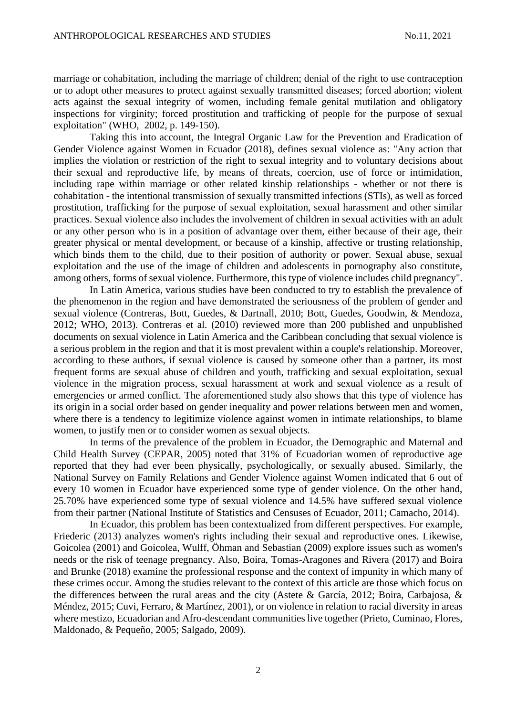marriage or cohabitation, including the marriage of children; denial of the right to use contraception or to adopt other measures to protect against sexually transmitted diseases; forced abortion; violent acts against the sexual integrity of women, including female genital mutilation and obligatory inspections for virginity; forced prostitution and trafficking of people for the purpose of sexual exploitation" (WHO, 2002, p. 149-150).

Taking this into account, the Integral Organic Law for the Prevention and Eradication of Gender Violence against Women in Ecuador (2018), defines sexual violence as: "Any action that implies the violation or restriction of the right to sexual integrity and to voluntary decisions about their sexual and reproductive life, by means of threats, coercion, use of force or intimidation, including rape within marriage or other related kinship relationships - whether or not there is cohabitation - the intentional transmission of sexually transmitted infections (STIs), as well as forced prostitution, trafficking for the purpose of sexual exploitation, sexual harassment and other similar practices. Sexual violence also includes the involvement of children in sexual activities with an adult or any other person who is in a position of advantage over them, either because of their age, their greater physical or mental development, or because of a kinship, affective or trusting relationship, which binds them to the child, due to their position of authority or power. Sexual abuse, sexual exploitation and the use of the image of children and adolescents in pornography also constitute, among others, forms of sexual violence. Furthermore, this type of violence includes child pregnancy".

In Latin America, various studies have been conducted to try to establish the prevalence of the phenomenon in the region and have demonstrated the seriousness of the problem of gender and sexual violence (Contreras, Bott, Guedes, & Dartnall, 2010; Bott, Guedes, Goodwin, & Mendoza, 2012; WHO, 2013). Contreras et al. (2010) reviewed more than 200 published and unpublished documents on sexual violence in Latin America and the Caribbean concluding that sexual violence is a serious problem in the region and that it is most prevalent within a couple's relationship. Moreover, according to these authors, if sexual violence is caused by someone other than a partner, its most frequent forms are sexual abuse of children and youth, trafficking and sexual exploitation, sexual violence in the migration process, sexual harassment at work and sexual violence as a result of emergencies or armed conflict. The aforementioned study also shows that this type of violence has its origin in a social order based on gender inequality and power relations between men and women, where there is a tendency to legitimize violence against women in intimate relationships, to blame women, to justify men or to consider women as sexual objects.

In terms of the prevalence of the problem in Ecuador, the Demographic and Maternal and Child Health Survey (CEPAR, 2005) noted that 31% of Ecuadorian women of reproductive age reported that they had ever been physically, psychologically, or sexually abused. Similarly, the National Survey on Family Relations and Gender Violence against Women indicated that 6 out of every 10 women in Ecuador have experienced some type of gender violence. On the other hand, 25.70% have experienced some type of sexual violence and 14.5% have suffered sexual violence from their partner (National Institute of Statistics and Censuses of Ecuador, 2011; Camacho, 2014).

In Ecuador, this problem has been contextualized from different perspectives. For example, Friederic (2013) analyzes women's rights including their sexual and reproductive ones. Likewise, Goicolea (2001) and Goicolea, Wulff, Öhman and Sebastian (2009) explore issues such as women's needs or the risk of teenage pregnancy. Also, Boira, Tomas-Aragones and Rivera (2017) and Boira and Brunke (2018) examine the professional response and the context of impunity in which many of these crimes occur. Among the studies relevant to the context of this article are those which focus on the differences between the rural areas and the city (Astete & García, 2012; Boira, Carbajosa, & Méndez, 2015; Cuvi, Ferraro, & Martínez, 2001), or on violence in relation to racial diversity in areas where mestizo, Ecuadorian and Afro-descendant communities live together (Prieto, Cuminao, Flores, Maldonado, & Pequeño, 2005; Salgado, 2009).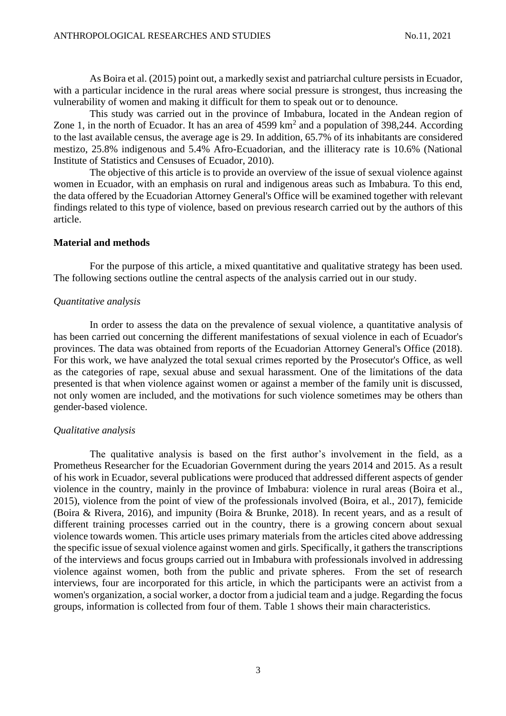As Boira et al. (2015) point out, a markedly sexist and patriarchal culture persists in Ecuador, with a particular incidence in the rural areas where social pressure is strongest, thus increasing the vulnerability of women and making it difficult for them to speak out or to denounce.

This study was carried out in the province of Imbabura, located in the Andean region of Zone 1, in the north of Ecuador. It has an area of  $4599 \text{ km}^2$  and a population of 398,244. According to the last available census, the average age is 29. In addition, 65.7% of its inhabitants are considered mestizo, 25.8% indigenous and 5.4% Afro-Ecuadorian, and the illiteracy rate is 10.6% (National Institute of Statistics and Censuses of Ecuador, 2010).

The objective of this article is to provide an overview of the issue of sexual violence against women in Ecuador, with an emphasis on rural and indigenous areas such as Imbabura. To this end, the data offered by the Ecuadorian Attorney General's Office will be examined together with relevant findings related to this type of violence, based on previous research carried out by the authors of this article.

### **Material and methods**

For the purpose of this article, a mixed quantitative and qualitative strategy has been used. The following sections outline the central aspects of the analysis carried out in our study.

### *Quantitative analysis*

In order to assess the data on the prevalence of sexual violence, a quantitative analysis of has been carried out concerning the different manifestations of sexual violence in each of Ecuador's provinces. The data was obtained from reports of the Ecuadorian Attorney General's Office (2018). For this work, we have analyzed the total sexual crimes reported by the Prosecutor's Office, as well as the categories of rape, sexual abuse and sexual harassment. One of the limitations of the data presented is that when violence against women or against a member of the family unit is discussed, not only women are included, and the motivations for such violence sometimes may be others than gender-based violence.

### *Qualitative analysis*

The qualitative analysis is based on the first author's involvement in the field, as a Prometheus Researcher for the Ecuadorian Government during the years 2014 and 2015. As a result of his work in Ecuador, several publications were produced that addressed different aspects of gender violence in the country, mainly in the province of Imbabura: violence in rural areas (Boira et al., 2015), violence from the point of view of the professionals involved (Boira, et al., 2017), femicide (Boira & Rivera, 2016), and impunity (Boira & Brunke, 2018). In recent years, and as a result of different training processes carried out in the country, there is a growing concern about sexual violence towards women. This article uses primary materials from the articles cited above addressing the specific issue of sexual violence against women and girls. Specifically, it gathers the transcriptions of the interviews and focus groups carried out in Imbabura with professionals involved in addressing violence against women, both from the public and private spheres. From the set of research interviews, four are incorporated for this article, in which the participants were an activist from a women's organization, a social worker, a doctor from a judicial team and a judge. Regarding the focus groups, information is collected from four of them. Table 1 shows their main characteristics.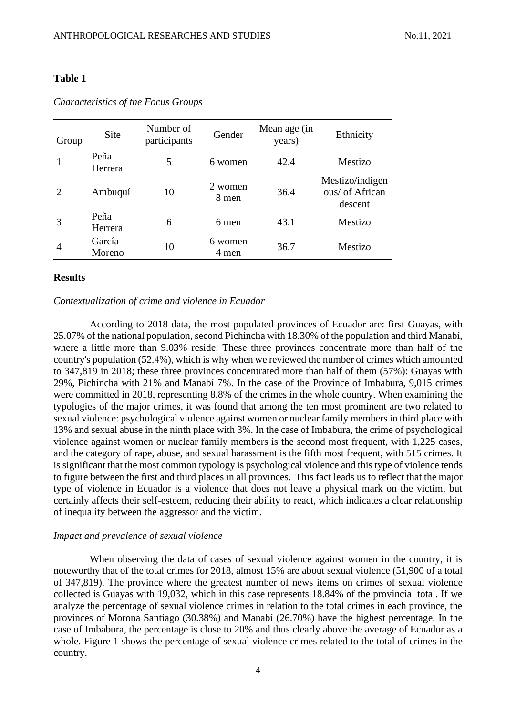## **Table 1**

| Group | Site             | Number of<br>participants | Gender           | Mean age (in<br>years) | Ethnicity                                     |  |
|-------|------------------|---------------------------|------------------|------------------------|-----------------------------------------------|--|
|       | Peña<br>Herrera  | 5                         | 6 women          | 42.4                   | Mestizo                                       |  |
|       | Ambuquí          | 10                        | 2 women<br>8 men | 36.4                   | Mestizo/indigen<br>ous/ of African<br>descent |  |
| 3     | Peña<br>Herrera  | 6                         | 6 men            | 43.1                   | Mestizo                                       |  |
| 4     | García<br>Moreno | 10                        | 6 women<br>4 men | 36.7                   | Mestizo                                       |  |

*Characteristics of the Focus Groups*

# **Results**

#### *Contextualization of crime and violence in Ecuador*

According to 2018 data, the most populated provinces of Ecuador are: first Guayas, with 25.07% of the national population, second Pichincha with 18.30% of the population and third Manabí, where a little more than 9.03% reside. These three provinces concentrate more than half of the country's population (52.4%), which is why when we reviewed the number of crimes which amounted to 347,819 in 2018; these three provinces concentrated more than half of them (57%): Guayas with 29%, Pichincha with 21% and Manabí 7%. In the case of the Province of Imbabura, 9,015 crimes were committed in 2018, representing 8.8% of the crimes in the whole country. When examining the typologies of the major crimes, it was found that among the ten most prominent are two related to sexual violence: psychological violence against women or nuclear family members in third place with 13% and sexual abuse in the ninth place with 3%. In the case of Imbabura, the crime of psychological violence against women or nuclear family members is the second most frequent, with 1,225 cases, and the category of rape, abuse, and sexual harassment is the fifth most frequent, with 515 crimes. It is significant that the most common typology is psychological violence and this type of violence tends to figure between the first and third places in all provinces. This fact leads us to reflect that the major type of violence in Ecuador is a violence that does not leave a physical mark on the victim, but certainly affects their self-esteem, reducing their ability to react, which indicates a clear relationship of inequality between the aggressor and the victim.

### *Impact and prevalence of sexual violence*

When observing the data of cases of sexual violence against women in the country, it is noteworthy that of the total crimes for 2018, almost 15% are about sexual violence (51,900 of a total of 347,819). The province where the greatest number of news items on crimes of sexual violence collected is Guayas with 19,032, which in this case represents 18.84% of the provincial total. If we analyze the percentage of sexual violence crimes in relation to the total crimes in each province, the provinces of Morona Santiago (30.38%) and Manabí (26.70%) have the highest percentage. In the case of Imbabura, the percentage is close to 20% and thus clearly above the average of Ecuador as a whole. Figure 1 shows the percentage of sexual violence crimes related to the total of crimes in the country.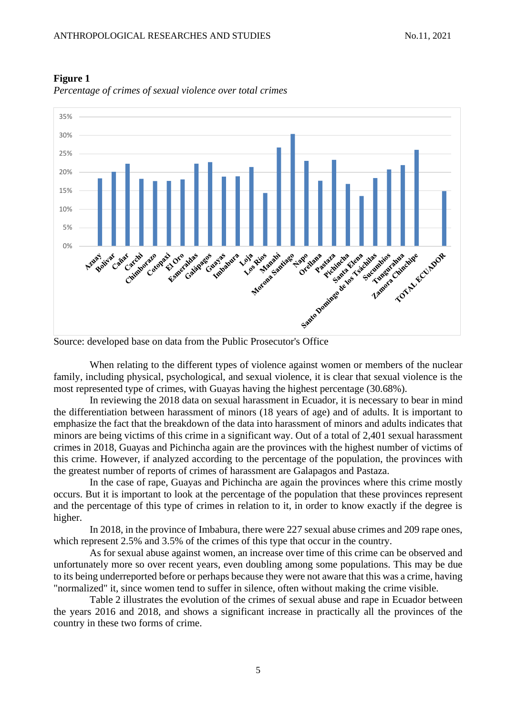

### **Figure 1**

*Percentage of crimes of sexual violence over total crimes*

When relating to the different types of violence against women or members of the nuclear family, including physical, psychological, and sexual violence, it is clear that sexual violence is the most represented type of crimes, with Guayas having the highest percentage (30.68%).

In reviewing the 2018 data on sexual harassment in Ecuador, it is necessary to bear in mind the differentiation between harassment of minors (18 years of age) and of adults. It is important to emphasize the fact that the breakdown of the data into harassment of minors and adults indicates that minors are being victims of this crime in a significant way. Out of a total of 2,401 sexual harassment crimes in 2018, Guayas and Pichincha again are the provinces with the highest number of victims of this crime. However, if analyzed according to the percentage of the population, the provinces with the greatest number of reports of crimes of harassment are Galapagos and Pastaza.

In the case of rape, Guayas and Pichincha are again the provinces where this crime mostly occurs. But it is important to look at the percentage of the population that these provinces represent and the percentage of this type of crimes in relation to it, in order to know exactly if the degree is higher.

In 2018, in the province of Imbabura, there were 227 sexual abuse crimes and 209 rape ones, which represent 2.5% and 3.5% of the crimes of this type that occur in the country.

As for sexual abuse against women, an increase over time of this crime can be observed and unfortunately more so over recent years, even doubling among some populations. This may be due to its being underreported before or perhaps because they were not aware that this was a crime, having "normalized" it, since women tend to suffer in silence, often without making the crime visible.

Table 2 illustrates the evolution of the crimes of sexual abuse and rape in Ecuador between the years 2016 and 2018, and shows a significant increase in practically all the provinces of the country in these two forms of crime.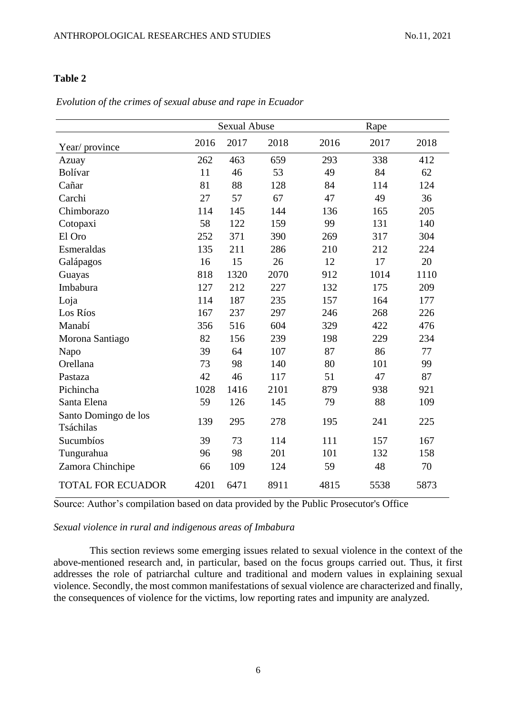# **Table 2**

|                                   | <b>Sexual Abuse</b> |      |      | Rape |      |      |  |
|-----------------------------------|---------------------|------|------|------|------|------|--|
| Year/ province                    | 2016                | 2017 | 2018 | 2016 | 2017 | 2018 |  |
| Azuay                             | 262                 | 463  | 659  | 293  | 338  | 412  |  |
| Bolívar                           | 11                  | 46   | 53   | 49   | 84   | 62   |  |
| Cañar                             | 81                  | 88   | 128  | 84   | 114  | 124  |  |
| Carchi                            | 27                  | 57   | 67   | 47   | 49   | 36   |  |
| Chimborazo                        | 114                 | 145  | 144  | 136  | 165  | 205  |  |
| Cotopaxi                          | 58                  | 122  | 159  | 99   | 131  | 140  |  |
| El Oro                            | 252                 | 371  | 390  | 269  | 317  | 304  |  |
| Esmeraldas                        | 135                 | 211  | 286  | 210  | 212  | 224  |  |
| Galápagos                         | 16                  | 15   | 26   | 12   | 17   | 20   |  |
| Guayas                            | 818                 | 1320 | 2070 | 912  | 1014 | 1110 |  |
| Imbabura                          | 127                 | 212  | 227  | 132  | 175  | 209  |  |
| Loja                              | 114                 | 187  | 235  | 157  | 164  | 177  |  |
| Los Ríos                          | 167                 | 237  | 297  | 246  | 268  | 226  |  |
| Manabí                            | 356                 | 516  | 604  | 329  | 422  | 476  |  |
| Morona Santiago                   | 82                  | 156  | 239  | 198  | 229  | 234  |  |
| Napo                              | 39                  | 64   | 107  | 87   | 86   | 77   |  |
| Orellana                          | 73                  | 98   | 140  | 80   | 101  | 99   |  |
| Pastaza                           | 42                  | 46   | 117  | 51   | 47   | 87   |  |
| Pichincha                         | 1028                | 1416 | 2101 | 879  | 938  | 921  |  |
| Santa Elena                       | 59                  | 126  | 145  | 79   | 88   | 109  |  |
| Santo Domingo de los<br>Tsáchilas | 139                 | 295  | 278  | 195  | 241  | 225  |  |
| Sucumbíos                         | 39                  | 73   | 114  | 111  | 157  | 167  |  |
| Tungurahua                        | 96                  | 98   | 201  | 101  | 132  | 158  |  |
| Zamora Chinchipe                  | 66                  | 109  | 124  | 59   | 48   | 70   |  |
| <b>TOTAL FOR ECUADOR</b>          | 4201                | 6471 | 8911 | 4815 | 5538 | 5873 |  |

*Evolution of the crimes of sexual abuse and rape in Ecuador*

Source: Author's compilation based on data provided by the Public Prosecutor's Office

### *Sexual violence in rural and indigenous areas of Imbabura*

This section reviews some emerging issues related to sexual violence in the context of the above-mentioned research and, in particular, based on the focus groups carried out. Thus, it first addresses the role of patriarchal culture and traditional and modern values in explaining sexual violence. Secondly, the most common manifestations of sexual violence are characterized and finally, the consequences of violence for the victims, low reporting rates and impunity are analyzed.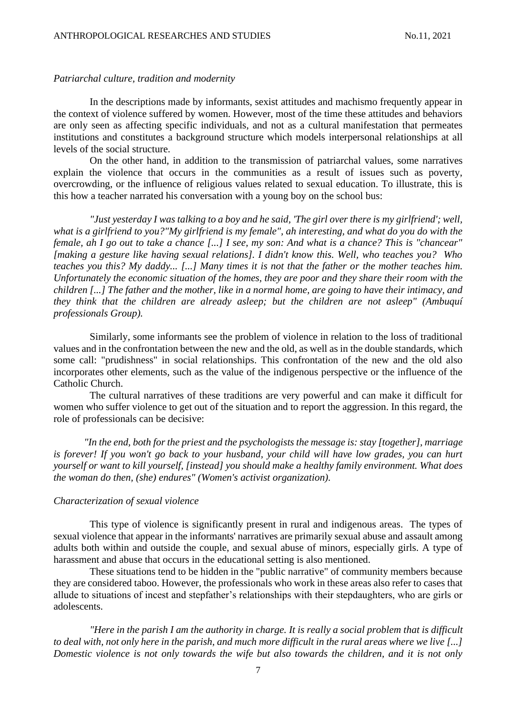### *Patriarchal culture, tradition and modernity*

In the descriptions made by informants, sexist attitudes and machismo frequently appear in the context of violence suffered by women. However, most of the time these attitudes and behaviors are only seen as affecting specific individuals, and not as a cultural manifestation that permeates institutions and constitutes a background structure which models interpersonal relationships at all levels of the social structure.

On the other hand, in addition to the transmission of patriarchal values, some narratives explain the violence that occurs in the communities as a result of issues such as poverty, overcrowding, or the influence of religious values related to sexual education. To illustrate, this is this how a teacher narrated his conversation with a young boy on the school bus:

*"Just yesterday I was talking to a boy and he said, 'The girl over there is my girlfriend'; well, what is a girlfriend to you?"My girlfriend is my female", ah interesting, and what do you do with the female, ah I go out to take a chance [...] I see, my son: And what is a chance? This is "chancear" [making a gesture like having sexual relations]. I didn't know this. Well, who teaches you? Who teaches you this? My daddy... [...] Many times it is not that the father or the mother teaches him. Unfortunately the economic situation of the homes, they are poor and they share their room with the children [...] The father and the mother, like in a normal home, are going to have their intimacy, and they think that the children are already asleep; but the children are not asleep" (Ambuquí professionals Group).* 

Similarly, some informants see the problem of violence in relation to the loss of traditional values and in the confrontation between the new and the old, as well as in the double standards, which some call: "prudishness" in social relationships. This confrontation of the new and the old also incorporates other elements, such as the value of the indigenous perspective or the influence of the Catholic Church.

The cultural narratives of these traditions are very powerful and can make it difficult for women who suffer violence to get out of the situation and to report the aggression. In this regard, the role of professionals can be decisive:

*"In the end, both for the priest and the psychologists the message is: stay [together], marriage is forever! If you won't go back to your husband, your child will have low grades, you can hurt yourself or want to kill yourself, [instead] you should make a healthy family environment. What does the woman do then, (she) endures" (Women's activist organization).*

### *Characterization of sexual violence*

This type of violence is significantly present in rural and indigenous areas. The types of sexual violence that appear in the informants' narratives are primarily sexual abuse and assault among adults both within and outside the couple, and sexual abuse of minors, especially girls. A type of harassment and abuse that occurs in the educational setting is also mentioned.

These situations tend to be hidden in the "public narrative" of community members because they are considered taboo. However, the professionals who work in these areas also refer to cases that allude to situations of incest and stepfather's relationships with their stepdaughters, who are girls or adolescents.

*"Here in the parish I am the authority in charge. It is really a social problem that is difficult to deal with, not only here in the parish, and much more difficult in the rural areas where we live [...] Domestic violence is not only towards the wife but also towards the children, and it is not only*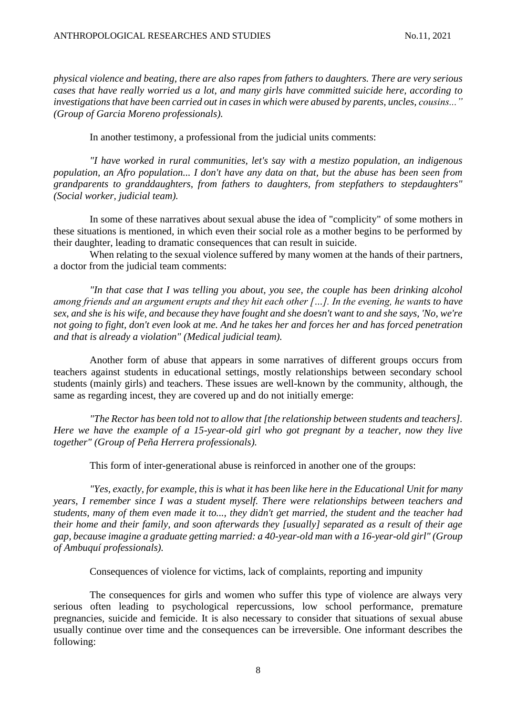*physical violence and beating, there are also rapes from fathers to daughters. There are very serious cases that have really worried us a lot, and many girls have committed suicide here, according to investigations that have been carried out in cases in which were abused by parents, uncles, cousins..." (Group of Garcia Moreno professionals).* 

In another testimony, a professional from the judicial units comments:

*"I have worked in rural communities, let's say with a mestizo population, an indigenous population, an Afro population... I don't have any data on that, but the abuse has been seen from grandparents to granddaughters, from fathers to daughters, from stepfathers to stepdaughters" (Social worker, judicial team).*

In some of these narratives about sexual abuse the idea of "complicity" of some mothers in these situations is mentioned, in which even their social role as a mother begins to be performed by their daughter, leading to dramatic consequences that can result in suicide.

When relating to the sexual violence suffered by many women at the hands of their partners, a doctor from the judicial team comments:

*"In that case that I was telling you about, you see, the couple has been drinking alcohol among friends and an argument erupts and they hit each other […]. In the evening, he wants to have sex, and she is his wife, and because they have fought and she doesn't want to and she says, 'No, we're not going to fight, don't even look at me. And he takes her and forces her and has forced penetration and that is already a violation" (Medical judicial team).*

Another form of abuse that appears in some narratives of different groups occurs from teachers against students in educational settings, mostly relationships between secondary school students (mainly girls) and teachers. These issues are well-known by the community, although, the same as regarding incest, they are covered up and do not initially emerge:

*"The Rector has been told not to allow that [the relationship between students and teachers]. Here we have the example of a 15-year-old girl who got pregnant by a teacher, now they live together" (Group of Peña Herrera professionals).*

This form of inter-generational abuse is reinforced in another one of the groups:

*"Yes, exactly, for example, this is what it has been like here in the Educational Unit for many years, I remember since I was a student myself. There were relationships between teachers and students, many of them even made it to..., they didn't get married, the student and the teacher had their home and their family, and soon afterwards they [usually] separated as a result of their age gap, because imagine a graduate getting married: a 40-year-old man with a 16-year-old girl" (Group of Ambuquí professionals).*

Consequences of violence for victims, lack of complaints, reporting and impunity

The consequences for girls and women who suffer this type of violence are always very serious often leading to psychological repercussions, low school performance, premature pregnancies, suicide and femicide. It is also necessary to consider that situations of sexual abuse usually continue over time and the consequences can be irreversible. One informant describes the following: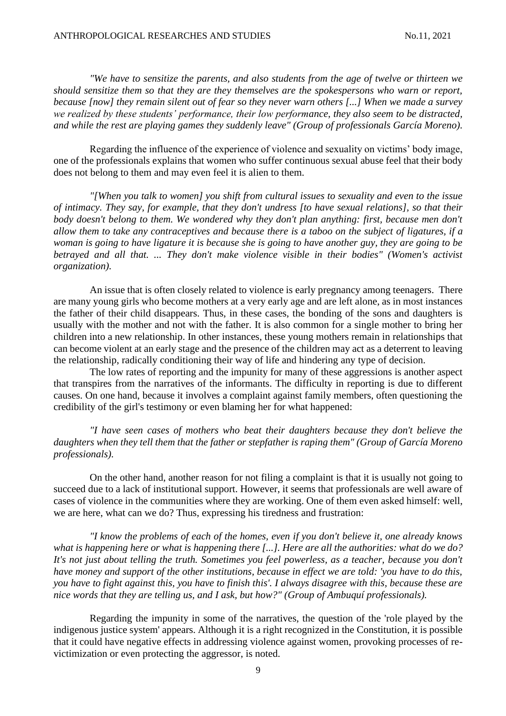*"We have to sensitize the parents, and also students from the age of twelve or thirteen we should sensitize them so that they are they themselves are the spokespersons who warn or report, because [now] they remain silent out of fear so they never warn others [...] When we made a survey we realized by these students' performance, their low performance, they also seem to be distracted, and while the rest are playing games they suddenly leave" (Group of professionals García Moreno).*

Regarding the influence of the experience of violence and sexuality on victims' body image, one of the professionals explains that women who suffer continuous sexual abuse feel that their body does not belong to them and may even feel it is alien to them.

*"[When you talk to women] you shift from cultural issues to sexuality and even to the issue of intimacy. They say, for example, that they don't undress [to have sexual relations], so that their body doesn't belong to them. We wondered why they don't plan anything: first, because men don't allow them to take any contraceptives and because there is a taboo on the subject of ligatures, if a woman is going to have ligature it is because she is going to have another guy, they are going to be betrayed and all that. ... They don't make violence visible in their bodies" (Women's activist organization).*

An issue that is often closely related to violence is early pregnancy among teenagers. There are many young girls who become mothers at a very early age and are left alone, as in most instances the father of their child disappears. Thus, in these cases, the bonding of the sons and daughters is usually with the mother and not with the father. It is also common for a single mother to bring her children into a new relationship. In other instances, these young mothers remain in relationships that can become violent at an early stage and the presence of the children may act as a deterrent to leaving the relationship, radically conditioning their way of life and hindering any type of decision.

The low rates of reporting and the impunity for many of these aggressions is another aspect that transpires from the narratives of the informants. The difficulty in reporting is due to different causes. On one hand, because it involves a complaint against family members, often questioning the credibility of the girl's testimony or even blaming her for what happened:

*"I have seen cases of mothers who beat their daughters because they don't believe the daughters when they tell them that the father or stepfather is raping them" (Group of García Moreno professionals).*

On the other hand, another reason for not filing a complaint is that it is usually not going to succeed due to a lack of institutional support. However, it seems that professionals are well aware of cases of violence in the communities where they are working. One of them even asked himself: well, we are here, what can we do? Thus, expressing his tiredness and frustration:

*"I know the problems of each of the homes, even if you don't believe it, one already knows what is happening here or what is happening there [...]. Here are all the authorities: what do we do? It's not just about telling the truth. Sometimes you feel powerless, as a teacher, because you don't have money and support of the other institutions, because in effect we are told: 'you have to do this, you have to fight against this, you have to finish this'. I always disagree with this, because these are nice words that they are telling us, and I ask, but how?" (Group of Ambuquí professionals).*

Regarding the impunity in some of the narratives, the question of the 'role played by the indigenous justice system' appears. Although it is a right recognized in the Constitution, it is possible that it could have negative effects in addressing violence against women, provoking processes of revictimization or even protecting the aggressor, is noted.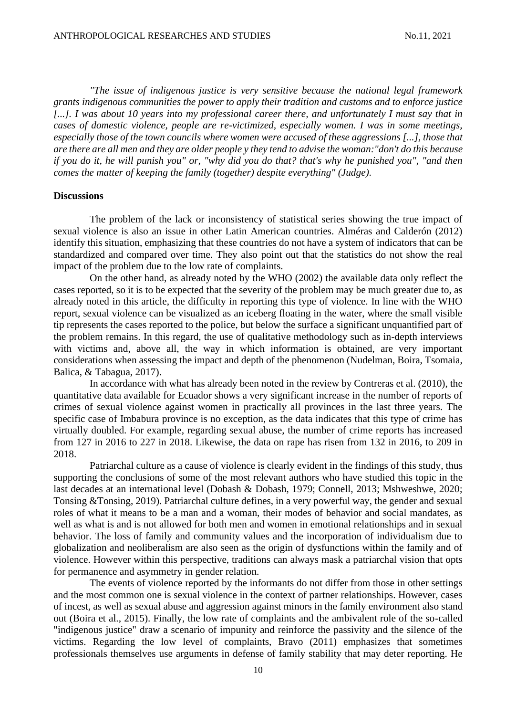*"The issue of indigenous justice is very sensitive because the national legal framework grants indigenous communities the power to apply their tradition and customs and to enforce justice [...]. I was about 10 years into my professional career there, and unfortunately I must say that in cases of domestic violence, people are re-victimized, especially women. I was in some meetings, especially those of the town councils where women were accused of these aggressions [...], those that are there are all men and they are older people y they tend to advise the woman:"don't do this because if you do it, he will punish you" or, "why did you do that? that's why he punished you", "and then comes the matter of keeping the family (together) despite everything" (Judge).*

### **Discussions**

The problem of the lack or inconsistency of statistical series showing the true impact of sexual violence is also an issue in other Latin American countries. Alméras and Calderón (2012) identify this situation, emphasizing that these countries do not have a system of indicators that can be standardized and compared over time. They also point out that the statistics do not show the real impact of the problem due to the low rate of complaints.

On the other hand, as already noted by the WHO (2002) the available data only reflect the cases reported, so it is to be expected that the severity of the problem may be much greater due to, as already noted in this article, the difficulty in reporting this type of violence. In line with the WHO report, sexual violence can be visualized as an iceberg floating in the water, where the small visible tip represents the cases reported to the police, but below the surface a significant unquantified part of the problem remains. In this regard, the use of qualitative methodology such as in-depth interviews with victims and, above all, the way in which information is obtained, are very important considerations when assessing the impact and depth of the phenomenon (Nudelman, Boira, Tsomaia, Balica, & Tabagua, 2017).

In accordance with what has already been noted in the review by Contreras et al. (2010), the quantitative data available for Ecuador shows a very significant increase in the number of reports of crimes of sexual violence against women in practically all provinces in the last three years. The specific case of Imbabura province is no exception, as the data indicates that this type of crime has virtually doubled. For example, regarding sexual abuse, the number of crime reports has increased from 127 in 2016 to 227 in 2018. Likewise, the data on rape has risen from 132 in 2016, to 209 in 2018.

Patriarchal culture as a cause of violence is clearly evident in the findings of this study, thus supporting the conclusions of some of the most relevant authors who have studied this topic in the last decades at an international level (Dobash & Dobash, 1979; Connell, 2013; Mshweshwe, 2020; Tonsing &Tonsing, 2019). Patriarchal culture defines, in a very powerful way, the gender and sexual roles of what it means to be a man and a woman, their modes of behavior and social mandates, as well as what is and is not allowed for both men and women in emotional relationships and in sexual behavior. The loss of family and community values and the incorporation of individualism due to globalization and neoliberalism are also seen as the origin of dysfunctions within the family and of violence. However within this perspective, traditions can always mask a patriarchal vision that opts for permanence and asymmetry in gender relation.

The events of violence reported by the informants do not differ from those in other settings and the most common one is sexual violence in the context of partner relationships. However, cases of incest, as well as sexual abuse and aggression against minors in the family environment also stand out (Boira et al., 2015). Finally, the low rate of complaints and the ambivalent role of the so-called "indigenous justice" draw a scenario of impunity and reinforce the passivity and the silence of the victims. Regarding the low level of complaints, Bravo (2011) emphasizes that sometimes professionals themselves use arguments in defense of family stability that may deter reporting. He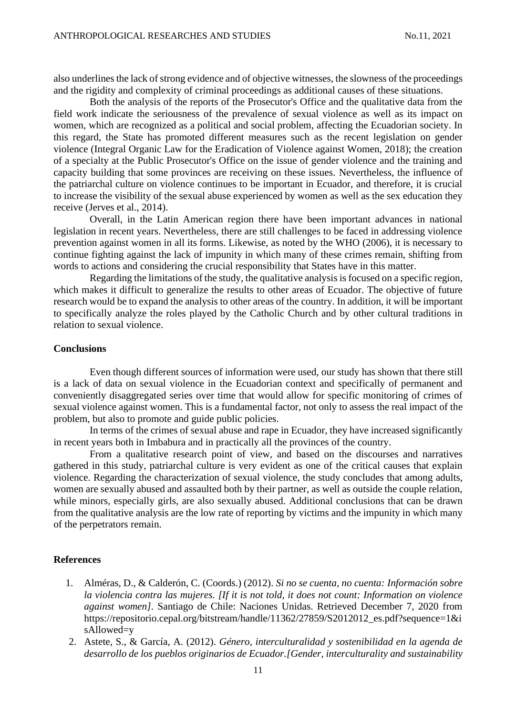also underlines the lack of strong evidence and of objective witnesses, the slowness of the proceedings and the rigidity and complexity of criminal proceedings as additional causes of these situations.

Both the analysis of the reports of the Prosecutor's Office and the qualitative data from the field work indicate the seriousness of the prevalence of sexual violence as well as its impact on women, which are recognized as a political and social problem, affecting the Ecuadorian society. In this regard, the State has promoted different measures such as the recent legislation on gender violence (Integral Organic Law for the Eradication of Violence against Women, 2018); the creation of a specialty at the Public Prosecutor's Office on the issue of gender violence and the training and capacity building that some provinces are receiving on these issues. Nevertheless, the influence of the patriarchal culture on violence continues to be important in Ecuador, and therefore, it is crucial to increase the visibility of the sexual abuse experienced by women as well as the sex education they receive (Jerves et al., 2014).

Overall, in the Latin American region there have been important advances in national legislation in recent years. Nevertheless, there are still challenges to be faced in addressing violence prevention against women in all its forms. Likewise, as noted by the WHO (2006), it is necessary to continue fighting against the lack of impunity in which many of these crimes remain, shifting from words to actions and considering the crucial responsibility that States have in this matter.

Regarding the limitations of the study, the qualitative analysis is focused on a specific region, which makes it difficult to generalize the results to other areas of Ecuador. The objective of future research would be to expand the analysis to other areas of the country. In addition, it will be important to specifically analyze the roles played by the Catholic Church and by other cultural traditions in relation to sexual violence.

### **Conclusions**

Even though different sources of information were used, our study has shown that there still is a lack of data on sexual violence in the Ecuadorian context and specifically of permanent and conveniently disaggregated series over time that would allow for specific monitoring of crimes of sexual violence against women. This is a fundamental factor, not only to assess the real impact of the problem, but also to promote and guide public policies.

In terms of the crimes of sexual abuse and rape in Ecuador, they have increased significantly in recent years both in Imbabura and in practically all the provinces of the country.

From a qualitative research point of view, and based on the discourses and narratives gathered in this study, patriarchal culture is very evident as one of the critical causes that explain violence. Regarding the characterization of sexual violence, the study concludes that among adults, women are sexually abused and assaulted both by their partner, as well as outside the couple relation, while minors, especially girls, are also sexually abused. Additional conclusions that can be drawn from the qualitative analysis are the low rate of reporting by victims and the impunity in which many of the perpetrators remain.

## **References**

- 1. Alméras, D., & Calderón, C. (Coords.) (2012). *Si no se cuenta, no cuenta: Información sobre la violencia contra las mujeres. [If it is not told, it does not count: Information on violence against women]*. Santiago de Chile: Naciones Unidas. Retrieved December 7, 2020 from https://repositorio.cepal.org/bitstream/handle/11362/27859/S2012012\_es.pdf?sequence=1&i sAllowed=y
- 2. Astete, S., & García, A. (2012). *Género, interculturalidad y sostenibilidad en la agenda de desarrollo de los pueblos originarios de Ecuador.[Gender, interculturality and sustainability*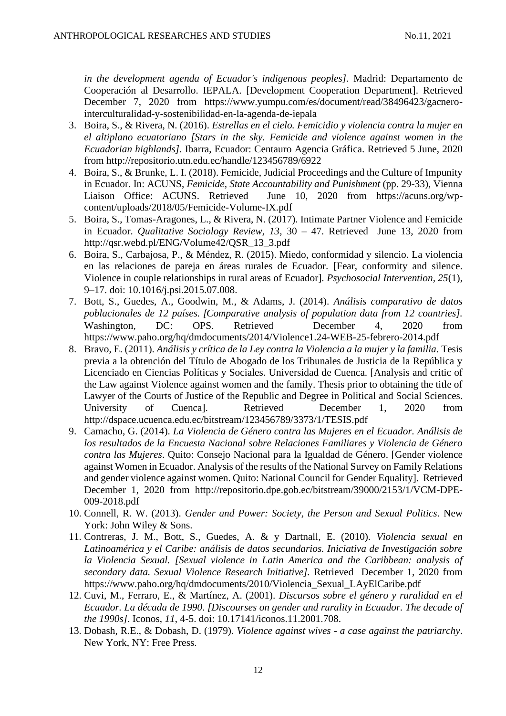*in the development agenda of Ecuador's indigenous peoples].* Madrid: Departamento de Cooperación al Desarrollo. IEPALA. [Development Cooperation Department]. Retrieved December 7, 2020 from https://www.yumpu.com/es/document/read/38496423/gacnerointerculturalidad-y-sostenibilidad-en-la-agenda-de-iepala

- 3. Boira, S., & Rivera, N. (2016). *Estrellas en el cielo. Femicidio y violencia contra la mujer en el altiplano ecuatoriano [Stars in the sky. Femicide and violence against women in the Ecuadorian highlands]*. Ibarra, Ecuador: Centauro Agencia Gráfica. Retrieved 5 June, 2020 from <http://repositorio.utn.edu.ec/handle/123456789/6922>
- 4. Boira, S., & Brunke, L. I. (2018). Femicide, Judicial Proceedings and the Culture of Impunity in Ecuador. In: ACUNS, *Femicide, State Accountability and Punishment* (pp. 29-33), Vienna Liaison Office: ACUNS. Retrieved June 10, 2020 from https://acuns.org/wpcontent/uploads/2018/05/Femicide-Volume-IX.pdf
- 5. Boira, S., Tomas-Aragones, L., & Rivera, N. (2017). Intimate Partner Violence and Femicide in Ecuador. *Qualitative Sociology Review, 13*, 30 – 47. Retrieved June 13, 2020 from http://qsr.webd.pl/ENG/Volume42/QSR\_13\_3.pdf
- 6. Boira, S., Carbajosa, P., & Méndez, R. (2015). Miedo, conformidad y silencio. La violencia en las relaciones de pareja en áreas rurales de Ecuador. [Fear, conformity and silence. Violence in couple relationships in rural areas of Ecuador]. *Psychosocial Intervention, 25*(1), 9–17. doi: 10.1016/j.psi.2015.07.008.
- 7. Bott, S., Guedes, A., Goodwin, M., & Adams, J. (2014). *Análisis comparativo de datos poblacionales de 12 países. [Comparative analysis of population data from 12 countries].* Washington, DC: OPS. Retrieved December 4, 2020 from https://www.paho.org/hq/dmdocuments/2014/Violence1.24-WEB-25-febrero-2014.pdf
- 8. Bravo, E. (2011). *Análisis y crítica de la Ley contra la Violencia a la mujer y la familia*. Tesis previa a la obtención del Título de Abogado de los Tribunales de Justicia de la República y Licenciado en Ciencias Políticas y Sociales. Universidad de Cuenca. [Analysis and critic of the Law against Violence against women and the family. Thesis prior to obtaining the title of Lawyer of the Courts of Justice of the Republic and Degree in Political and Social Sciences. University of Cuenca]. Retrieved December 1, 2020 from http://dspace.ucuenca.edu.ec/bitstream/123456789/3373/1/TESIS.pdf
- 9. Camacho, G. (2014). *La Violencia de Género contra las Mujeres en el Ecuador. Análisis de los resultados de la Encuesta Nacional sobre Relaciones Familiares y Violencia de Género contra las Mujeres*. Quito: Consejo Nacional para la Igualdad de Género. [Gender violence against Women in Ecuador. Analysis of the results of the National Survey on Family Relations and gender violence against women. Quito: National Council for Gender Equality]. Retrieved December 1, 2020 from http://repositorio.dpe.gob.ec/bitstream/39000/2153/1/VCM-DPE-009-2018.pdf
- 10. Connell, R. W. (2013). *Gender and Power: Society, the Person and Sexual Politics*. New York: John Wiley & Sons.
- 11. Contreras, J. M., Bott, S., Guedes, A. & y Dartnall, E. (2010). *Violencia sexual en Latinoamérica y el Caribe: análisis de datos secundarios. Iniciativa de Investigación sobre la Violencia Sexual. [Sexual violence in Latin America and the Caribbean: analysis of secondary data. Sexual Violence Research Initiative].* Retrieved December 1, 2020 from https://www.paho.org/hq/dmdocuments/2010/Violencia\_Sexual\_LAyElCaribe.pdf
- 12. Cuvi, M., Ferraro, E., & Martínez, A. (2001). *Discursos sobre el género y ruralidad en el Ecuador. La década de 1990*. *[Discourses on gender and rurality in Ecuador. The decade of the 1990s]*. Iconos, *11*, 4-5. doi: 10.17141/iconos.11.2001.708.
- 13. Dobash, R.E., & Dobash, D. (1979). *Violence against wives - a case against the patriarchy*. New York, NY: Free Press.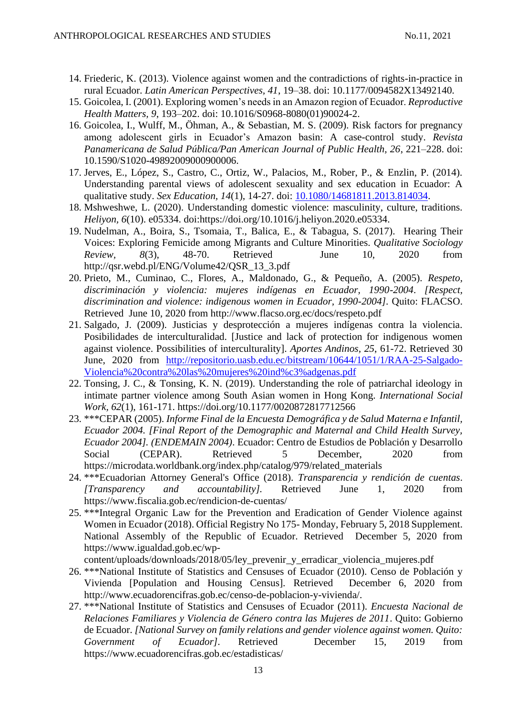- 14. Friederic, K. (2013). Violence against women and the contradictions of rights-in-practice in rural Ecuador. *Latin American Perspectives, 41*, 19–38. doi: 10.1177/0094582X13492140.
- 15. Goicolea, I. (2001). Exploring women's needs in an Amazon region of Ecuador. *Reproductive Health Matters, 9*, 193–202. doi: 10.1016/S0968-8080(01)90024-2.
- 16. Goicolea, I., Wulff, M., Öhman, A., & Sebastian, M. S. (2009). Risk factors for pregnancy among adolescent girls in Ecuador's Amazon basin: A case-control study. *Revista Panamericana de Salud Pública/Pan American Journal of Public Health, 26*, 221–228. doi: 10.1590/S1020-49892009000900006.
- 17. Jerves, E., López, S., Castro, C., Ortiz, W., Palacios, M., Rober, P., & Enzlin, P. (2014). Understanding parental views of adolescent sexuality and sex education in Ecuador: A qualitative study. *Sex Education, 14*(1), 14-27. doi: [10.1080/14681811.2013.814034.](https://doi.org/10.1080/14681811.2013.814034)
- 18. Mshweshwe, L. (2020). Understanding domestic violence: masculinity, culture, traditions. *Heliyon, 6*(10). e05334. doi:https://doi.org/10.1016/j.heliyon.2020.e05334.
- 19. Nudelman, A., Boira, S., Tsomaia, T., Balica, E., & Tabagua, S. (2017). Hearing Their Voices: Exploring Femicide among Migrants and Culture Minorities. *Qualitative Sociology Review, 8*(3), 48-70. Retrieved June 10, 2020 from http://qsr.webd.pl/ENG/Volume42/QSR\_13\_3.pdf
- 20. Prieto, M., Cuminao, C., Flores, A., Maldonado, G., & Pequeño, A. (2005). *Respeto, discriminación y violencia: mujeres indígenas en Ecuador, 1990-2004*. *[Respect, discrimination and violence: indigenous women in Ecuador, 1990-2004]*. Quito: FLACSO. Retrieved June 10, 2020 from http://www.flacso.org.ec/docs/respeto.pdf
- 21. Salgado, J. (2009). Justicias y desprotección a mujeres indígenas contra la violencia. Posibilidades de interculturalidad. [Justice and lack of protection for indigenous women against violence. Possibilities of interculturality]. *Aportes Andinos, 25*, 61-72. Retrieved 30 June, 2020 from [http://repositorio.uasb.edu.ec/bitstream/10644/1051/1/RAA-25-Salgado-](http://repositorio.uasb.edu.ec/bitstream/10644/1051/1/RAA-25-Salgado-Violencia%20contra%20las%20mujeres%20ind%c3%adgenas.pdf)[Violencia%20contra%20las%20mujeres%20ind%c3%adgenas.pdf](http://repositorio.uasb.edu.ec/bitstream/10644/1051/1/RAA-25-Salgado-Violencia%20contra%20las%20mujeres%20ind%c3%adgenas.pdf)
- 22. Tonsing, J. C., & Tonsing, K. N. (2019). Understanding the role of patriarchal ideology in intimate partner violence among South Asian women in Hong Kong. *International Social Work, 62*(1), 161-171. https://doi.org/10.1177/0020872817712566
- 23. \*\*\*CEPAR (2005). *Informe Final de la Encuesta Demográfica y de Salud Materna e Infantil, Ecuador 2004. [Final Report of the Demographic and Maternal and Child Health Survey, Ecuador 2004]. (ENDEMAIN 2004)*. Ecuador: Centro de Estudios de Población y Desarrollo Social (CEPAR). Retrieved 5 December, 2020 from https://microdata.worldbank.org/index.php/catalog/979/related\_materials
- 24. \*\*\*Ecuadorian Attorney General's Office (2018). *Transparencia y rendición de cuentas*. *[Transparency and accountability].* Retrieved June 1, 2020 from https://www.fiscalia.gob.ec/rendicion-de-cuentas/
- 25. \*\*\*Integral Organic Law for the Prevention and Eradication of Gender Violence against Women in Ecuador (2018). Official Registry No 175- Monday, February 5, 2018 Supplement. National Assembly of the Republic of Ecuador. Retrieved December 5, 2020 from https://www.igualdad.gob.ec/wp-

content/uploads/downloads/2018/05/ley\_prevenir\_y\_erradicar\_violencia\_mujeres.pdf

- 26. \*\*\*National Institute of Statistics and Censuses of Ecuador (2010). Censo de Población y Vivienda [Population and Housing Census]. Retrieved December 6, 2020 from http://www.ecuadorencifras.gob.ec/censo-de-poblacion-y-vivienda/.
- 27. \*\*\*National Institute of Statistics and Censuses of Ecuador (2011). *Encuesta Nacional de Relaciones Familiares y Violencia de Género contra las Mujeres de 2011*. Quito: Gobierno de Ecuador. *[National Survey on family relations and gender violence against women. Quito: Government of Ecuador]*. Retrieved December 15, 2019 from https://www.ecuadorencifras.gob.ec/estadisticas/